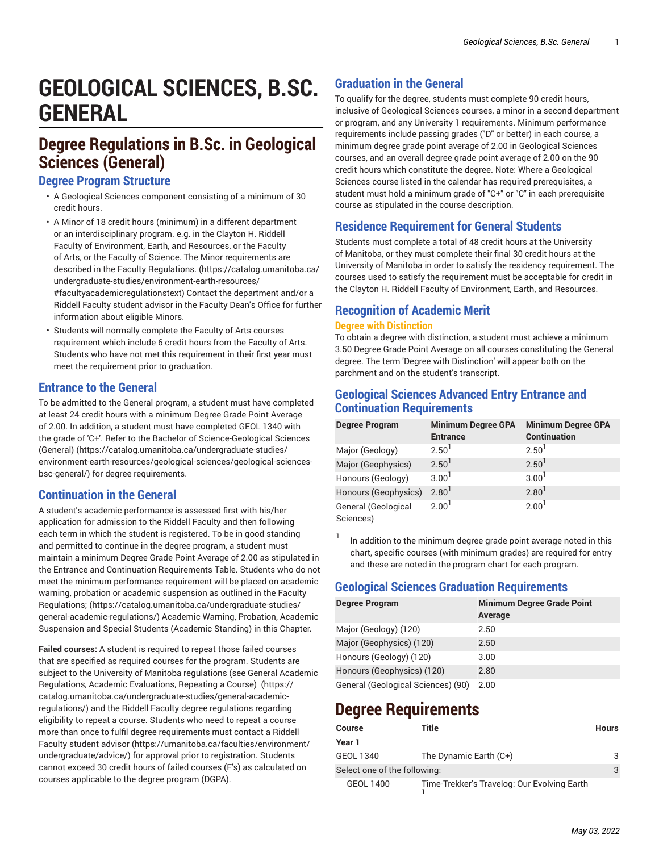# **GEOLOGICAL SCIENCES, B.SC. GENERAL**

# **Degree Regulations in B.Sc. in Geological Sciences (General)**

#### **Degree Program Structure**

- A Geological Sciences component consisting of a minimum of 30 credit hours.
- A Minor of 18 credit hours (minimum) in a different department or an interdisciplinary program. e.g. in the Clayton H. Riddell Faculty of Environment, Earth, and Resources, or the Faculty of Arts, or the Faculty of Science. The Minor requirements are described in the Faculty [Regulations.](https://catalog.umanitoba.ca/undergraduate-studies/environment-earth-resources/#facultyacademicregulationstext) ([https://catalog.umanitoba.ca/](https://catalog.umanitoba.ca/undergraduate-studies/environment-earth-resources/#facultyacademicregulationstext) [undergraduate-studies/environment-earth-resources/](https://catalog.umanitoba.ca/undergraduate-studies/environment-earth-resources/#facultyacademicregulationstext) [#facultyacademicregulationstext\)](https://catalog.umanitoba.ca/undergraduate-studies/environment-earth-resources/#facultyacademicregulationstext) Contact the department and/or a Riddell Faculty student advisor in the Faculty Dean's Office for further information about eligible Minors.
- Students will normally complete the Faculty of Arts courses requirement which include 6 credit hours from the Faculty of Arts. Students who have not met this requirement in their first year must meet the requirement prior to graduation.

#### **Entrance to the General**

To be admitted to the General program, a student must have completed at least 24 credit hours with a minimum Degree Grade Point Average of 2.00. In addition, a student must have completed GEOL 1340 with the grade of 'C+'. Refer to the [Bachelor of Science-Geological Sciences](https://catalog.umanitoba.ca/undergraduate-studies/environment-earth-resources/geological-sciences/geological-sciences-bsc-general/) [\(General\)](https://catalog.umanitoba.ca/undergraduate-studies/environment-earth-resources/geological-sciences/geological-sciences-bsc-general/) ([https://catalog.umanitoba.ca/undergraduate-studies/](https://catalog.umanitoba.ca/undergraduate-studies/environment-earth-resources/geological-sciences/geological-sciences-bsc-general/) [environment-earth-resources/geological-sciences/geological-sciences](https://catalog.umanitoba.ca/undergraduate-studies/environment-earth-resources/geological-sciences/geological-sciences-bsc-general/)[bsc-general/](https://catalog.umanitoba.ca/undergraduate-studies/environment-earth-resources/geological-sciences/geological-sciences-bsc-general/)) for degree requirements.

#### **Continuation in the General**

A student's academic performance is assessed first with his/her application for admission to the Riddell Faculty and then following each term in which the student is registered. To be in good standing and permitted to continue in the degree program, a student must maintain a minimum Degree Grade Point Average of 2.00 as stipulated in the Entrance and Continuation Requirements Table. Students who do not meet the minimum performance requirement will be placed on academic warning, probation or academic suspension as outlined in the [Faculty](https://catalog.umanitoba.ca/undergraduate-studies/general-academic-regulations/) [Regulations;](https://catalog.umanitoba.ca/undergraduate-studies/general-academic-regulations/) ([https://catalog.umanitoba.ca/undergraduate-studies/](https://catalog.umanitoba.ca/undergraduate-studies/general-academic-regulations/) [general-academic-regulations/\)](https://catalog.umanitoba.ca/undergraduate-studies/general-academic-regulations/) Academic Warning, Probation, Academic Suspension and Special Students (Academic Standing) in this Chapter.

**Failed courses:** A student is required to repeat those failed courses that are specified as required courses for the program. Students are subject to the University of Manitoba regulations (se[e General Academic](https://catalog.umanitoba.ca/undergraduate-studies/general-academic-regulations/) [Regulations,](https://catalog.umanitoba.ca/undergraduate-studies/general-academic-regulations/) Academic Evaluations, Repeating a Course) [\(https://](https://catalog.umanitoba.ca/undergraduate-studies/general-academic-regulations/) [catalog.umanitoba.ca/undergraduate-studies/general-academic](https://catalog.umanitoba.ca/undergraduate-studies/general-academic-regulations/)[regulations/\)](https://catalog.umanitoba.ca/undergraduate-studies/general-academic-regulations/) and the Riddell Faculty degree regulations regarding eligibility to repeat a course. Students who need to repeat a course more than once to fulfil degree requirements must contact a [Riddell](https://umanitoba.ca/faculties/environment/undergraduate/advice/) Faculty [student](https://umanitoba.ca/faculties/environment/undergraduate/advice/) advisor [\(https://umanitoba.ca/faculties/environment/](https://umanitoba.ca/faculties/environment/undergraduate/advice/) [undergraduate/advice/\)](https://umanitoba.ca/faculties/environment/undergraduate/advice/) for approval prior to registration. Students cannot exceed 30 credit hours of failed courses (F's) as calculated on courses applicable to the degree program (DGPA).

# **Graduation in the General**

To qualify for the degree, students must complete 90 credit hours, inclusive of Geological Sciences courses, a minor in a second department or program, and any University 1 requirements. Minimum performance requirements include passing grades ("D" or better) in each course, a minimum degree grade point average of 2.00 in Geological Sciences courses, and an overall degree grade point average of 2.00 on the 90 credit hours which constitute the degree. Note: Where a Geological Sciences course listed in the calendar has required prerequisites, a student must hold a minimum grade of "C+" or "C" in each prerequisite course as stipulated in the course description.

### **Residence Requirement for General Students**

Students must complete a total of 48 credit hours at the University of Manitoba, or they must complete their final 30 credit hours at the University of Manitoba in order to satisfy the residency requirement. The courses used to satisfy the requirement must be acceptable for credit in the Clayton H. Riddell Faculty of Environment, Earth, and Resources.

## **Recognition of Academic Merit**

#### **Degree with Distinction**

To obtain a degree with distinction, a student must achieve a minimum 3.50 Degree Grade Point Average on all courses constituting the General degree. The term 'Degree with Distinction' will appear both on the parchment and on the student's transcript.

### **Geological Sciences Advanced Entry Entrance and Continuation Requirements**

| <b>Degree Program</b>            | <b>Minimum Degree GPA</b><br><b>Entrance</b> | <b>Minimum Degree GPA</b><br><b>Continuation</b> |
|----------------------------------|----------------------------------------------|--------------------------------------------------|
| Major (Geology)                  | 2.50 <sup>1</sup>                            | $2.50^{\circ}$                                   |
| Major (Geophysics)               | 2.50 <sup>1</sup>                            | 2.50 <sup>1</sup>                                |
| Honours (Geology)                | $3.00^{1}$                                   | 3.00 <sup>1</sup>                                |
| Honours (Geophysics)             | $2.80^{1}$                                   | $2.80$ <sup>1</sup>                              |
| General (Geological<br>Sciences) | 2.00 <sup>1</sup>                            | 2.00 <sup>1</sup>                                |

1 In addition to the minimum degree grade point average noted in this chart, specific courses (with minimum grades) are required for entry and these are noted in the program chart for each program.

## **Geological Sciences Graduation Requirements**

| <b>Degree Program</b>              | <b>Minimum Degree Grade Point</b><br>Average |
|------------------------------------|----------------------------------------------|
| Major (Geology) (120)              | 2.50                                         |
| Major (Geophysics) (120)           | 2.50                                         |
| Honours (Geology) (120)            | 3.00                                         |
| Honours (Geophysics) (120)         | 2.80                                         |
| General (Geological Sciences) (90) | 2.00                                         |

# **Degree Requirements**

| <b>Course</b>                | Title                                       | <b>Hours</b> |
|------------------------------|---------------------------------------------|--------------|
| Year 1                       |                                             |              |
| <b>GEOL 1340</b>             | The Dynamic Earth (C+)                      | 3            |
| Select one of the following: |                                             | 3            |
| GEOL 1400                    | Time-Trekker's Travelog: Our Evolving Earth |              |